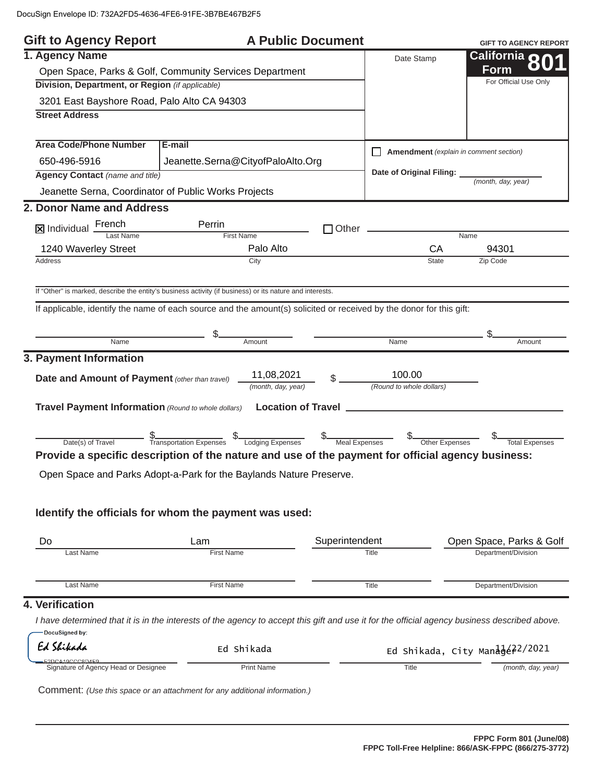| <b>Gift to Agency Report</b>                                                    |                                                                                                                                              | <b>A Public Document</b> |                                    | <b>GIFT TO AGENCY REPORT</b>           |
|---------------------------------------------------------------------------------|----------------------------------------------------------------------------------------------------------------------------------------------|--------------------------|------------------------------------|----------------------------------------|
| 1. Agency Name                                                                  |                                                                                                                                              |                          | Date Stamp                         | California o                           |
| Open Space, Parks & Golf, Community Services Department                         |                                                                                                                                              |                          |                                    | Form                                   |
| Division, Department, or Region (if applicable)                                 |                                                                                                                                              |                          |                                    | For Official Use Only                  |
| 3201 East Bayshore Road, Palo Alto CA 94303                                     |                                                                                                                                              |                          |                                    |                                        |
| <b>Street Address</b>                                                           |                                                                                                                                              |                          |                                    |                                        |
| <b>Area Code/Phone Number</b>                                                   | E-mail                                                                                                                                       |                          |                                    | Amendment (explain in comment section) |
| 650-496-5916                                                                    | Jeanette.Serna@CityofPaloAlto.Org                                                                                                            |                          |                                    |                                        |
| <b>Agency Contact (name and title)</b>                                          |                                                                                                                                              |                          | Date of Original Filing: __        | (month, day, year)                     |
| Jeanette Serna, Coordinator of Public Works Projects                            |                                                                                                                                              |                          |                                    |                                        |
| 2. Donor Name and Address                                                       |                                                                                                                                              |                          |                                    |                                        |
| $\boxed{\mathbf{X}}$ Individual $\frac{\text{French}}{\text{Last Name}}$        | Perrin                                                                                                                                       |                          |                                    |                                        |
|                                                                                 | <b>First Name</b>                                                                                                                            |                          | CA                                 | $\overline{\mathsf{Name}}$             |
| 1240 Waverley Street<br>Address                                                 | Palo Alto<br>City                                                                                                                            |                          | <b>State</b>                       | 94301<br>Zip Code                      |
|                                                                                 |                                                                                                                                              |                          |                                    |                                        |
|                                                                                 | If "Other" is marked, describe the entity's business activity (if business) or its nature and interests.                                     |                          |                                    |                                        |
|                                                                                 | If applicable, identify the name of each source and the amount(s) solicited or received by the donor for this gift:                          |                          |                                    |                                        |
|                                                                                 |                                                                                                                                              |                          |                                    |                                        |
| Name                                                                            | Amount                                                                                                                                       |                          | Name                               |                                        |
|                                                                                 |                                                                                                                                              |                          |                                    | Amount                                 |
| 3. Payment Information<br><b>Date and Amount of Payment (other than travel)</b> | 11,08,2021<br>(month, day, year)                                                                                                             |                          | 100.00<br>(Round to whole dollars) |                                        |
| Travel Payment Information (Round to whole dollars)                             |                                                                                                                                              |                          |                                    |                                        |
|                                                                                 |                                                                                                                                              |                          |                                    | Total Expenses                         |
|                                                                                 | Provide a specific description of the nature and use of the payment for official agency business:                                            |                          |                                    |                                        |
|                                                                                 | Open Space and Parks Adopt-a-Park for the Baylands Nature Preserve.                                                                          |                          |                                    |                                        |
|                                                                                 |                                                                                                                                              |                          |                                    |                                        |
|                                                                                 | Identify the officials for whom the payment was used:                                                                                        |                          |                                    |                                        |
| Do                                                                              | Lam                                                                                                                                          | Superintendent           |                                    | Open Space, Parks & Golf               |
| Last Name                                                                       | <b>First Name</b>                                                                                                                            |                          | Title                              | Department/Division                    |
| Last Name                                                                       | <b>First Name</b>                                                                                                                            |                          | Title                              | Department/Division                    |
| 4. Verification                                                                 |                                                                                                                                              |                          |                                    |                                        |
| DocuSigned by:                                                                  | I have determined that it is in the interests of the agency to accept this gift and use it for the official agency business described above. |                          |                                    |                                        |
| Ed Shikada                                                                      | Ed Shikada                                                                                                                                   |                          |                                    | Ed Shikada, City Manage22/2021         |

|  | Comment: (Use this space or an attachment for any additional information.) |
|--|----------------------------------------------------------------------------|
|--|----------------------------------------------------------------------------|

E2DCA19CCC8D4F9<br>
Signature of Agency Head or Designee Print Name

- -

**Title** 

 *(month, day, year)*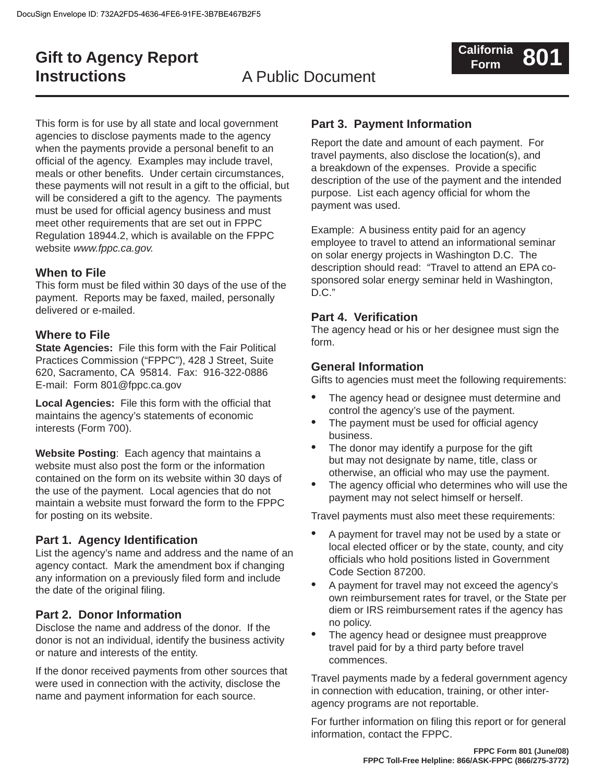## **Gift to Agency Report Instructions**

## A Public Document

This form is for use by all state and local government agencies to disclose payments made to the agency when the payments provide a personal benefit to an official of the agency. Examples may include travel, meals or other benefits. Under certain circumstances, these payments will not result in a gift to the official, but will be considered a gift to the agency. The payments must be used for official agency business and must meet other requirements that are set out in FPPC Regulation 18944.2, which is available on the FPPC website *www.fppc.ca.gov.*

#### **When to File**

This form must be filed within 30 days of the use of the payment. Reports may be faxed, mailed, personally delivered or e-mailed.

#### **Where to File**

**State Agencies:** File this form with the Fair Political Practices Commission ("FPPC"), 428 J Street, Suite 620, Sacramento, CA 95814. Fax: 916-322-0886 E-mail: Form 801@fppc.ca.gov

**Local Agencies:** File this form with the official that maintains the agency's statements of economic interests (Form 700).

**Website Posting**: Each agency that maintains a website must also post the form or the information contained on the form on its website within 30 days of the use of the payment. Local agencies that do not maintain a website must forward the form to the FPPC for posting on its website.

### **Part 1. Agency Identification**

List the agency's name and address and the name of an agency contact. Mark the amendment box if changing any information on a previously filed form and include the date of the original filing.

#### **Part 2. Donor Information**

Disclose the name and address of the donor. If the donor is not an individual, identify the business activity or nature and interests of the entity.

If the donor received payments from other sources that were used in connection with the activity, disclose the name and payment information for each source.

#### **Part 3. Payment Information**

Report the date and amount of each payment. For travel payments, also disclose the location(s), and a breakdown of the expenses. Provide a specific description of the use of the payment and the intended purpose. List each agency official for whom the payment was used.

Example: A business entity paid for an agency employee to travel to attend an informational seminar on solar energy projects in Washington D.C. The description should read: "Travel to attend an EPA cosponsored solar energy seminar held in Washington, D.C."

#### **Part 4. Verification**

The agency head or his or her designee must sign the form.

#### **General Information**

Gifts to agencies must meet the following requirements:

- The agency head or designee must determine and control the agency's use of the payment. •
- The payment must be used for official agency business. •
- The donor may identify a purpose for the gift but may not designate by name, title, class or otherwise, an official who may use the payment. •
- The agency official who determines who will use the payment may not select himself or herself. •

Travel payments must also meet these requirements:

- A payment for travel may not be used by a state or local elected officer or by the state, county, and city officials who hold positions listed in Government Code Section 87200. •
- A payment for travel may not exceed the agency's own reimbursement rates for travel, or the State per diem or IRS reimbursement rates if the agency has no policy. •
- The agency head or designee must preapprove travel paid for by a third party before travel commences. •

Travel payments made by a federal government agency in connection with education, training, or other interagency programs are not reportable.

For further information on filing this report or for general information, contact the FPPC.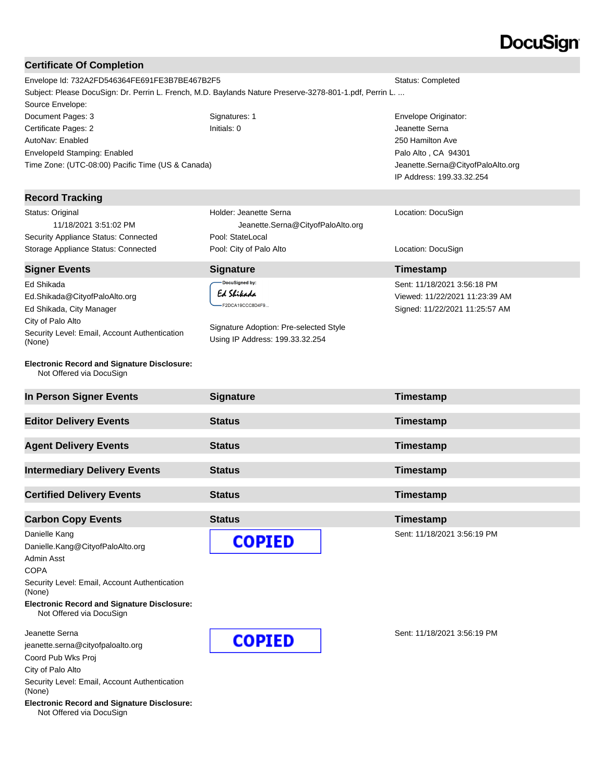# **DocuSign®**

### **Certificate Of Completion**

| <b>Certificate Of Completion</b>                                               |                                                                                                         |                                   |  |
|--------------------------------------------------------------------------------|---------------------------------------------------------------------------------------------------------|-----------------------------------|--|
| Envelope Id: 732A2FD546364FE691FE3B7BE467B2F5<br>Status: Completed             |                                                                                                         |                                   |  |
|                                                                                | Subject: Please DocuSign: Dr. Perrin L. French, M.D. Baylands Nature Preserve-3278-801-1.pdf, Perrin L. |                                   |  |
| Source Envelope:                                                               |                                                                                                         |                                   |  |
| Document Pages: 3                                                              | Signatures: 1                                                                                           | Envelope Originator:              |  |
| Certificate Pages: 2                                                           | Initials: 0                                                                                             | Jeanette Serna                    |  |
| AutoNav: Enabled                                                               |                                                                                                         | 250 Hamilton Ave                  |  |
| <b>Envelopeld Stamping: Enabled</b>                                            |                                                                                                         | Palo Alto, CA 94301               |  |
| Time Zone: (UTC-08:00) Pacific Time (US & Canada)                              |                                                                                                         | Jeanette.Serna@CityofPaloAlto.org |  |
|                                                                                |                                                                                                         | IP Address: 199.33.32.254         |  |
| <b>Record Tracking</b>                                                         |                                                                                                         |                                   |  |
| Status: Original                                                               | Holder: Jeanette Serna                                                                                  | Location: DocuSign                |  |
| 11/18/2021 3:51:02 PM                                                          | Jeanette.Serna@CityofPaloAlto.org                                                                       |                                   |  |
| Security Appliance Status: Connected                                           | Pool: StateLocal                                                                                        |                                   |  |
| Storage Appliance Status: Connected                                            | Pool: City of Palo Alto                                                                                 | Location: DocuSign                |  |
| <b>Signer Events</b>                                                           | <b>Signature</b>                                                                                        | Timestamp                         |  |
| Ed Shikada                                                                     | DocuSigned by:                                                                                          | Sent: 11/18/2021 3:56:18 PM       |  |
| Ed.Shikada@CityofPaloAlto.org                                                  | Ed Shikada                                                                                              | Viewed: 11/22/2021 11:23:39 AM    |  |
| Ed Shikada, City Manager                                                       | F2DCA19CCC8D4F9                                                                                         | Signed: 11/22/2021 11:25:57 AM    |  |
| City of Palo Alto                                                              |                                                                                                         |                                   |  |
| Security Level: Email, Account Authentication                                  | Signature Adoption: Pre-selected Style                                                                  |                                   |  |
| (None)                                                                         | Using IP Address: 199.33.32.254                                                                         |                                   |  |
| <b>Electronic Record and Signature Disclosure:</b><br>Not Offered via DocuSign |                                                                                                         |                                   |  |
| In Person Signer Events                                                        | <b>Signature</b>                                                                                        | Timestamp                         |  |
| <b>Editor Delivery Events</b>                                                  | <b>Status</b>                                                                                           | Timestamp                         |  |
|                                                                                |                                                                                                         |                                   |  |
| <b>Agent Delivery Events</b>                                                   | <b>Status</b>                                                                                           | Timestamp                         |  |
| <b>Intermediary Delivery Events</b>                                            | <b>Status</b>                                                                                           | Timestamp                         |  |
| <b>Certified Delivery Events</b>                                               | <b>Status</b>                                                                                           | Timestamp                         |  |
|                                                                                |                                                                                                         |                                   |  |
| <b>Carbon Copy Events</b>                                                      | <b>Status</b>                                                                                           | Timestamp                         |  |
| Danielle Kang                                                                  | <b>COPIED</b>                                                                                           | Sent: 11/18/2021 3:56:19 PM       |  |
| Danielle.Kang@CityofPaloAlto.org<br>Admin Asst<br><b>COPA</b>                  |                                                                                                         |                                   |  |

Security Level: Email, Account Authentication (None)

**Electronic Record and Signature Disclosure:**  Not Offered via DocuSign

Jeanette Serna

jeanette.serna@cityofpaloalto.org

Coord Pub Wks Proj

City of Palo Alto

Security Level: Email, Account Authentication (None)

**Electronic Record and Signature Disclosure:**  Not Offered via DocuSign

**COPIED** 

Sent: 11/18/2021 3:56:19 PM